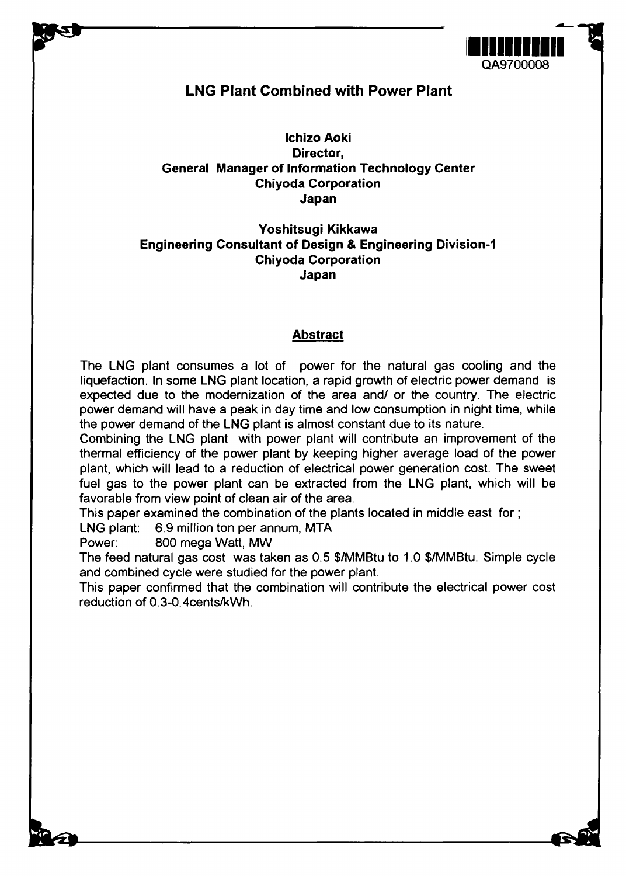

# **LNG Plant Combined with Power Plant**

**Ichizo Aoki Director, General Manager of Information Technology Center Chiyoda Corporation Japan**

# **Yoshitsugi Kikkawa Engineering Consultant of Design & Engineering Division-1 Chiyoda Corporation Japan**

# **Abstract**

The **LNG** plant consumes **a** lot of power for the natural gas cooling and the liquefaction. In some LNG plant location, **a** rapid growth of electric power demand is expected due to the modernization of the area and/ or the country. The electric power demand will have a peak in day time and low consumption in night time, while the power demand of the LNG plant is almost constant due to its nature.

Combining the LNG plant with power plant will contribute an improvement of the thermal efficiency of the power plant by keeping higher average load of the power plant, which will lead to a reduction of electrical power generation cost. The sweet fuel gas to the power plant can be extracted from the LNG plant, which will be favorable from view point of clean air of the area.

This paper examined the combination of the plants located in middle east for;

LNG plant: 6.9 million ton per annum, MTA

Power: 800 mega Watt, MW

The feed natural gas cost was taken as 0.5 \$/MMBtu to 1.0 \$/MMBtu. Simple cycle and combined cycle were studied for the power plant.

This paper confirmed that the combination will contribute the electrical power cost reduction of 0.3-0.4cents/kWh.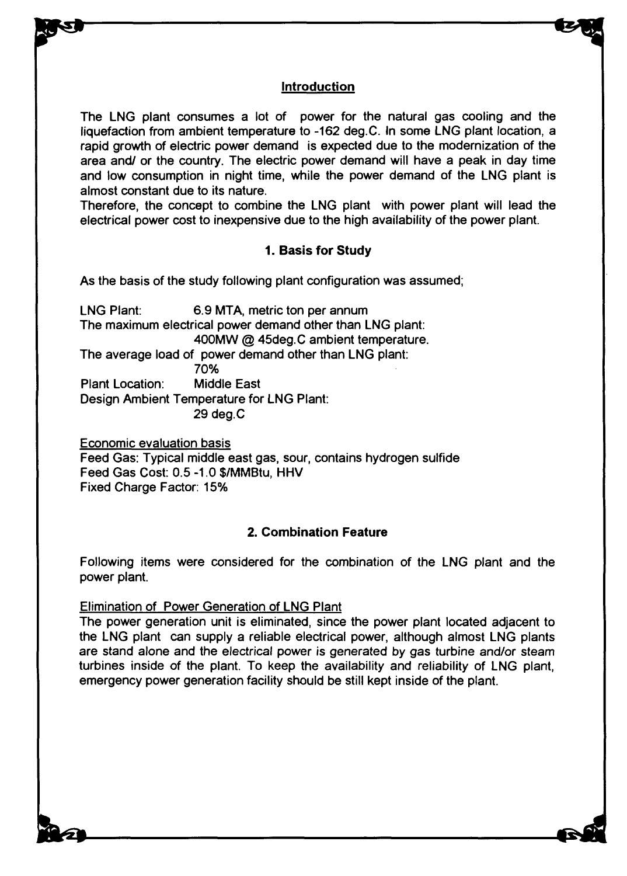# Introduction

The LNG plant consumes a lot of power for the natural gas cooling and the liquefaction from ambient temperature to -162 deg.C. In some LNG plant location, a rapid growth of electric power demand is expected due to the modernization of the area and/ or the country. The electric power demand will have a peak in day time and low consumption in night time, while the power demand of the LNG plant is almost constant due to its nature.

Therefore, the concept to combine the LNG plant with power plant will lead the electrical power cost to inexpensive due to the high availability of the power plant.

# **1. Basis for Study**

As the basis of the study following plant configuration was assumed;

LNG Plant: 6.9 MTA, metric ton per annum The maximum electrical power demand other than LNG plant: 400MW @ 45deg.C ambient temperature. The average load of power demand other than LNG plant: 70% Plant Location: Middle East Design Ambient Temperature for LNG Plant: 29 deg.C

Economic evaluation basis Feed Gas: Typical middle east gas, sour, contains hydrogen sulfide Feed Gas Cost: 0.5 -1.0 \$/MMBtu, HHV Fixed Charge Factor: 15%

# **2. Combination Feature**

Following items were considered for the combination of the LNG plant and the power plant.

#### Elimination of Power Generation of LNG Plant

The power generation unit is eliminated, since the power plant located adjacent to the LNG plant can supply a reliable electrical power, although almost LNG plants are stand alone and the electrical power is generated by gas turbine and/or steam turbines inside of the plant. To keep the availability and reliability of LNG plant, emergency power generation facility should be still kept inside of the plant.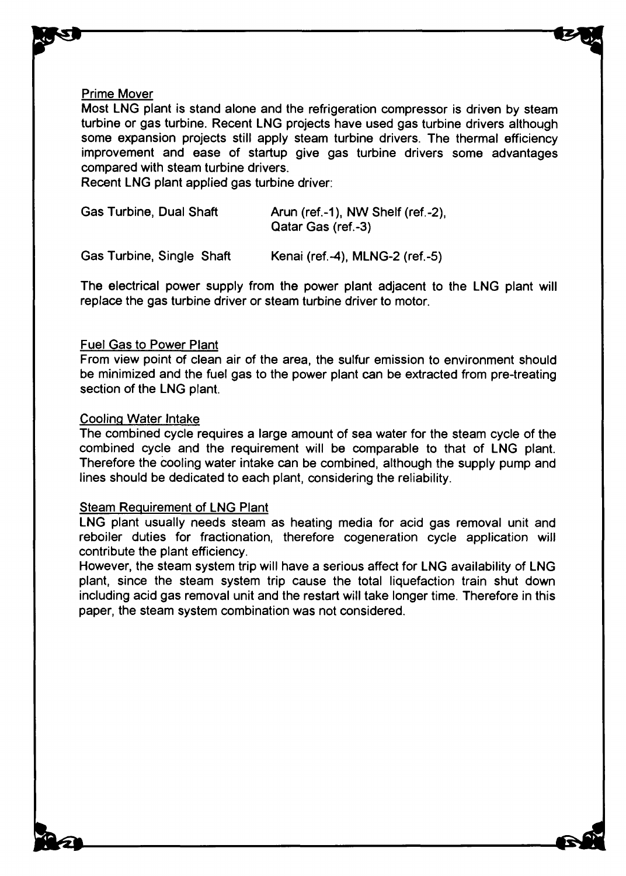#### Prime Mover

Most LNG plant is stand alone and the refrigeration compressor is driven by steam turbine or gas turbine. Recent LNG projects have used gas turbine drivers although some expansion projects still apply steam turbine drivers. The thermal efficiency improvement and ease of startup give gas turbine drivers some advantages compared with steam turbine drivers.

Recent LNG plant applied gas turbine driver:

| <b>Gas Turbine, Dual Shaft</b> | Arun (ref.-1), NW Shelf (ref.-2),<br>Qatar Gas (ref.-3) |
|--------------------------------|---------------------------------------------------------|
|                                |                                                         |

Gas Turbine, Single Shaft Kenai (ref.-4), MLNG-2 (ref.-5)

The electrical power supply from the power plant adjacent to the LNG plant will replace the gas turbine driver or steam turbine driver to motor.

#### Fuel Gas to Power Plant

From view point of clean air of the area, the sulfur emission to environment should be minimized and the fuel gas to the power plant can be extracted from pre-treating section of the LNG plant.

#### Cooling Water Intake

The combined cycle requires a large amount of sea water for the steam cycle of the combined cycle and the requirement will be comparable to that of LNG plant. Therefore the cooling water intake can be combined, although the supply pump and lines should be dedicated to each plant, considering the reliability.

#### Steam Requirement of LNG Plant

LNG plant usually needs steam as heating media for acid gas removal unit and reboiler duties for fractionation, therefore cogeneration cycle application will contribute the plant efficiency.

However, the steam system trip will have a serious affect for LNG availability of LNG plant, since the steam system trip cause the total liquefaction train shut down including acid gas removal unit and the restart will take longer time. Therefore in this paper, the steam system combination was not considered.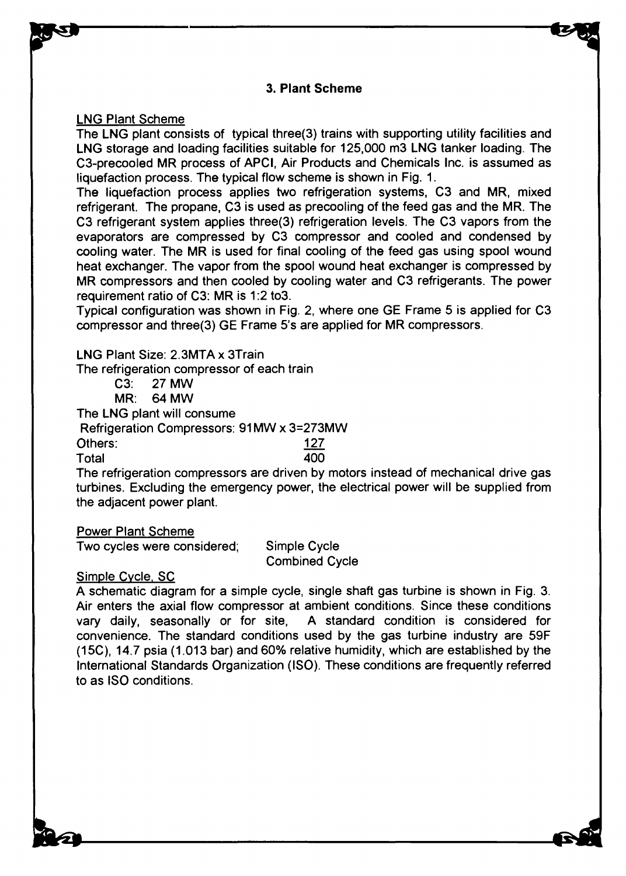# 3. Plant Scheme

LNG Plant Scheme

The LNG plant consists of typical three(3) trains with supporting utility facilities and LNG storage and loading facilities suitable for 125,000 m3 LNG tanker loading. The C3-precooled MR process of APCI, Air Products and Chemicals Inc. is assumed as liquefaction process. The typical flow scheme is shown in Fig. 1.

The liquefaction process applies two refrigeration systems, C3 and MR, mixed refrigerant. The propane, C3 is used as precooling of the feed gas and the MR. The C3 refrigerant system applies three(3) refrigeration levels. The C3 vapors from the evaporators are compressed by C3 compressor and cooled and condensed by cooling water. The MR is used for final cooling of the feed gas using spool wound heat exchanger. The vapor from the spool wound heat exchanger is compressed by MR compressors and then cooled by cooling water and C3 refrigerants. The power requirement ratio of C3: MR is 1:2 to3.

Typical configuration was shown in Fig. 2, where one GE Frame 5 is applied for C3 compressor and three(3) GE Frame 5's are applied for MR compressors.

LNG Plant Size: 2.3MTA x 3Train

The refrigeration compressor of each train

C3: 27 MW

MR: 64 MW

The LNG plant will consume

Refrigeration Compressors: 91 MW x 3=273MW

Others: 127

Total 400

The refrigeration compressors are driven by motors instead of mechanical drive gas turbines. Excluding the emergency power, the electrical power will be supplied from the adjacent power plant.

Power Plant Scheme

Two cycles were considered; Simple Cycle

Combined Cycle

Simple Cycle. SC

A schematic diagram for a simple cycle, single shaft gas turbine is shown in Fig. 3. Air enters the axial flow compressor at ambient conditions. Since these conditions vary daily, seasonally or for site, A standard condition is considered for convenience. The standard conditions used by the gas turbine industry are 59F (15C), 14.7 psia (1.013 bar) and 60% relative humidity, which are established by the International Standards Organization (ISO). These conditions are frequently referred to as ISO conditions.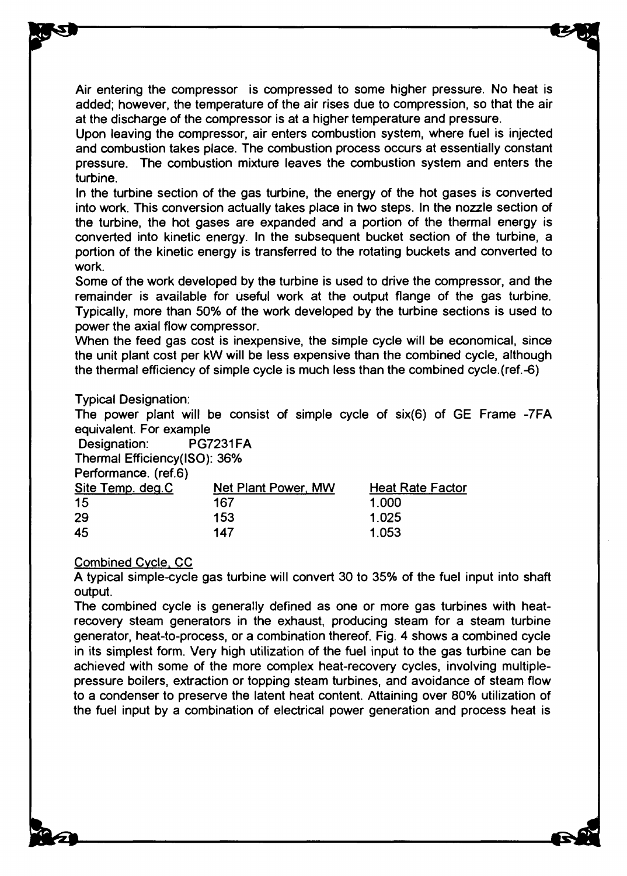Air entering the compressor is compressed to some higher pressure. No heat is added; however, the temperature of the air rises due to compression, so that the air at the discharge of the compressor is at a higher temperature and pressure.

Upon leaving the compressor, air enters combustion system, where fuel is injected and combustion takes place. The combustion process occurs at essentially constant pressure. The combustion mixture leaves the combustion system and enters the turbine.

In the turbine section of the gas turbine, the energy of the hot gases is converted into work. This conversion actually takes place in two steps. In the nozzle section of the turbine, the hot gases are expanded and a portion of the thermal energy is converted into kinetic energy. In the subsequent bucket section of the turbine, a portion of the kinetic energy is transferred to the rotating buckets and converted to work.

Some of the work developed by the turbine is used to drive the compressor, and the remainder is available for useful work at the output flange of the gas turbine. Typically, more than 50% of the work developed by the turbine sections is used to power the axial flow compressor.

When the feed gas cost is inexpensive, the simple cycle will be economical, since the unit plant cost per kW will be less expensive than the combined cycle, although the thermal efficiency of simple cycle is much less than the combined cycle.(ref.-6)

#### Typical Designation:

The power plant will be consist of simple cycle of six(6) of GE Frame -7FA equivalent. For example

Designation: PG7231 FA

Thermal Efficiency(ISO): 36%

|  | Performance. (ref.6) |  |  |
|--|----------------------|--|--|
|  |                      |  |  |

| Site Temp. deg.C | Net Plant Power, MW | <b>Heat Rate Factor</b> |
|------------------|---------------------|-------------------------|
| -15              | 167                 | 1.000                   |
| -29              | 153                 | 1.025                   |
| 45               | 147                 | 1.053                   |

#### Combined Cycle. CC

A typical simple-cycle gas turbine will convert 30 to 35% of the fuel input into shaft output.

The combined cycle is generally defined as one or more gas turbines with heatrecovery steam generators in the exhaust, producing steam for a steam turbine generator, heat-to-process, or a combination thereof. Fig. 4 shows a combined cycle in its simplest form. Very high utilization of the fuel input to the gas turbine can be achieved with some of the more complex heat-recovery cycles, involving multiplepressure boilers, extraction or topping steam turbines, and avoidance of steam flow to a condenser to preserve the latent heat content. Attaining over 80% utilization of the fuel input by a combination of electrical power generation and process heat is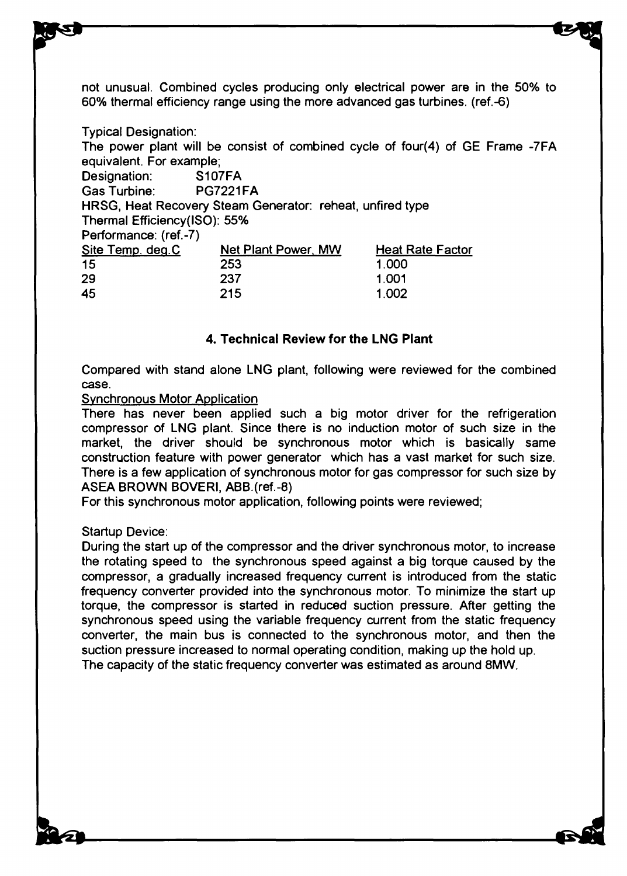not unusual. Combined cycles producing only electrical power are in the 50% to 60% thermal efficiency range using the more advanced gas turbines. (ref.-6)

Typical Designation: The power plant will be consist of combined cycle of four(4) of GE Frame -7FA equivalent. For example; Designation: S107FA Gas Turbine: PG7221FA HRSG, Heat Recovery Steam Generator: reheat, unfired type Thermal Efficiency(ISO): 55% Performance: (ref.-7) Site Temp. deq.C Net Plant Power. MW Heat Rate Factor 15 253 1.000 29 237 1.001 45 215 1.002

# **4. Technical Review for the LNG Plant**

Compared with stand alone LNG plant, following were reviewed for the combined case.

#### Synchronous Motor Application

There has never been applied such a big motor driver for the refrigeration compressor of LNG plant. Since there is no induction motor of such size in the market, the driver should be synchronous motor which is basically same construction feature with power generator which has a vast market for such size. There is a few application of synchronous motor for gas compressor for such size by ASEA BROWN BOVERI, ABB.(ref.-8)

For this synchronous motor application, following points were reviewed;

#### Startup Device:

During the start up of the compressor and the driver synchronous motor, to increase the rotating speed to the synchronous speed against a big torque caused by the compressor, a gradually increased frequency current is introduced from the static frequency converter provided into the synchronous motor. To minimize the start up torque, the compressor is started in reduced suction pressure. After getting the synchronous speed using the variable frequency current from the static frequency converter, the main bus is connected to the synchronous motor, and then the suction pressure increased to normal operating condition, making up the hold up. The capacity of the static frequency converter was estimated as around 8MW.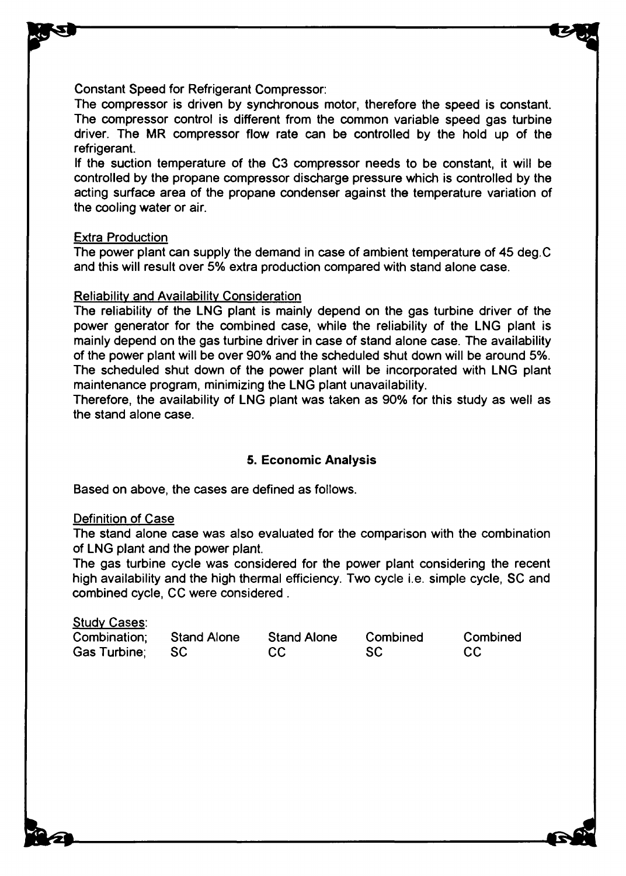Constant Speed for Refrigerant Compressor:

The compressor is driven by synchronous motor, therefore the speed is constant. The compressor control is different from the common variable speed gas turbine driver. The MR compressor flow rate can be controlled by the hold up of the refrigerant.

If the suction temperature of the C3 compressor needs to be constant, it will be controlled by the propane compressor discharge pressure which is controlled by the acting surface area of the propane condenser against the temperature variation of the cooling water or air.

#### Extra Production

The power plant can supply the demand in case of ambient temperature of 45 deg.C and this will result over 5% extra production compared with stand alone case.

# Reliability and Availability Consideration

The reliability of the LNG plant is mainly depend on the gas turbine driver of the power generator for the combined case, while the reliability of the LNG plant is mainly depend on the gas turbine driver in case of stand alone case. The availability of the power plant will be over 90% and the scheduled shut down will be around 5%. The scheduled shut down of the power plant will be incorporated with LNG plant maintenance program, minimizing the LNG plant unavailability.

Therefore, the availability of LNG plant was taken as 90% for this study as well as the stand alone case.

# **5. Economic Analysis**

Based on above, the cases are defined as follows.

# Definition of Case

Study Cases:

The stand alone case was also evaluated for the comparison with the combination of LNG plant and the power plant.

The gas turbine cycle was considered for the power plant considering the recent high availability and the high thermal efficiency. Two cycle i.e. simple cycle, SC and combined cycle, CC were considered .

| <u>Study Cases</u> .     |                    |           |          |
|--------------------------|--------------------|-----------|----------|
| Combination: Stand Alone | <b>Stand Alone</b> | Combined  | Combined |
| Gas Turbine; SC          | CC.                | <b>SC</b> | - CC     |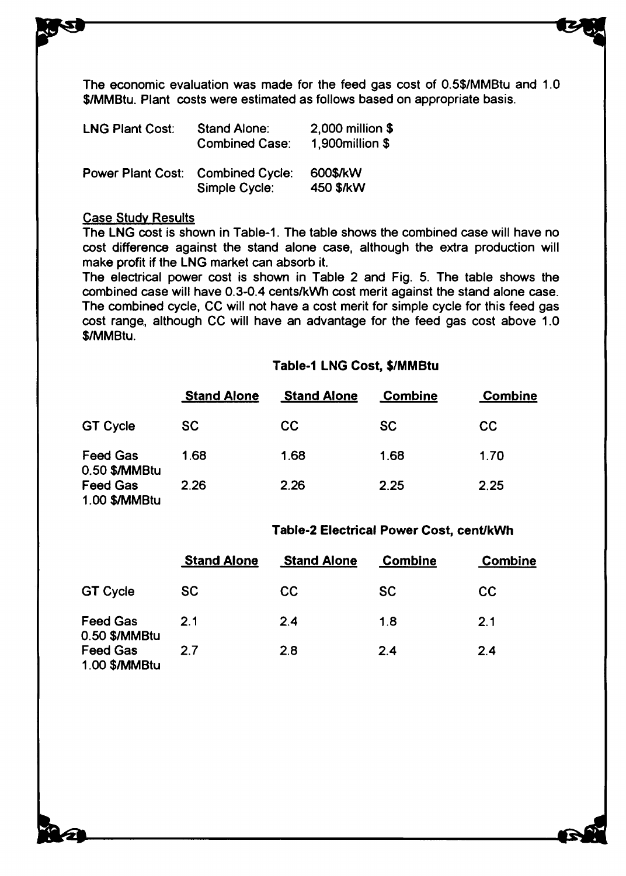The economic evaluation was made for the feed gas cost of 0.5\$/MMBtu and 1.0 \$/MMBtu. Plant costs were estimated as follows based on appropriate basis.

| <b>LNG Plant Cost:</b>                   | Stand Alone:<br><b>Combined Case:</b> | 2,000 million \$<br>1,900 million \$ |
|------------------------------------------|---------------------------------------|--------------------------------------|
| <b>Power Plant Cost: Combined Cycle:</b> | Simple Cycle:                         | 600\$/kW<br>450 \$/kW                |

#### Case Study Results

The LNG cost is shown in Table-1. The table shows the combined case will have no cost difference against the stand alone case, although the extra production will make profit if the LNG market can absorb it.

The electrical power cost is shown in Table 2 and Fig. 5. The table shows the combined case will have 0.3-0.4 cents/kWh cost merit against the stand alone case. The combined cycle, CC will not have a cost merit for simple cycle for this feed gas cost range, although CC will have an advantage for the feed gas cost above 1.0 \$/MMBtu.

# **Table-1 LNG Cost, \$/MMBtu**

|                                  | <b>Stand Alone</b> | <b>Stand Alone</b> | <b>Combine</b> | <b>Combine</b> |
|----------------------------------|--------------------|--------------------|----------------|----------------|
| <b>GT Cycle</b>                  | <b>SC</b>          | CC                 | <b>SC</b>      | CC             |
| <b>Feed Gas</b><br>0.50 \$/MMBtu | 1.68               | 1.68               | 1.68           | 1.70           |
| <b>Feed Gas</b><br>1.00 \$/MMBtu | 2.26               | 2.26               | 2.25           | 2.25           |

#### **Table-2 Electrical Power Cost, cent/kWh**

|                                  | <b>Stand Alone</b> | <b>Stand Alone</b> | <b>Combine</b> | <b>Combine</b> |
|----------------------------------|--------------------|--------------------|----------------|----------------|
| <b>GT Cycle</b>                  | SC                 | CC                 | <b>SC</b>      | CC             |
| <b>Feed Gas</b><br>0.50 \$/MMBtu | 21                 | 2.4                | 1.8            | 2.1            |
| <b>Feed Gas</b><br>1.00 \$/MMBtu | 27                 | 2.8                | 2.4            | 2.4            |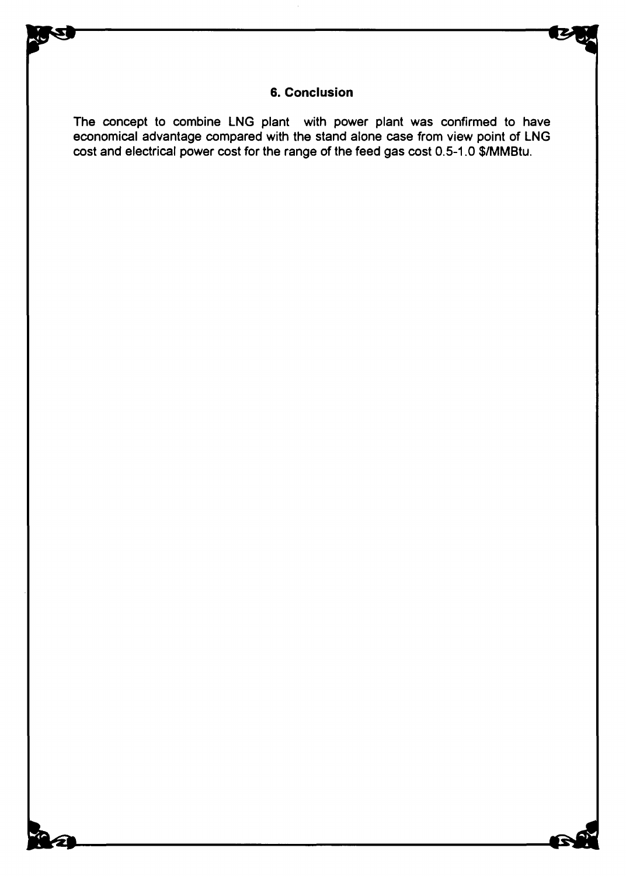# **6. Conclusion**

The concept to combine LNG plant with power plant was confirmed to have economical advantage compared with the stand alone case from view point of LNG cost and electrical power cost for the range of the feed gas cost 0.5-1.0 \$/MMBtu.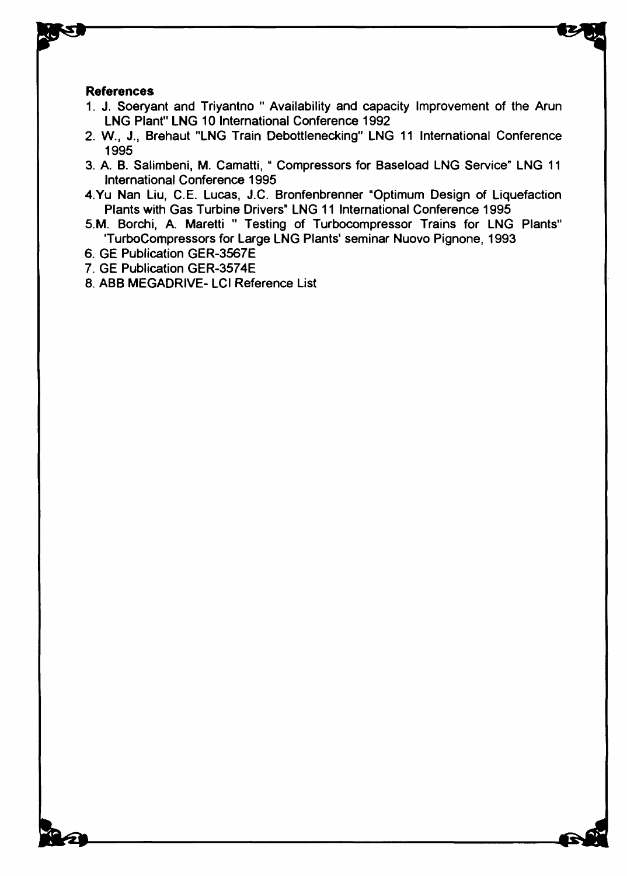#### **References**

- 1. J. Soeryant and Triyantno " Availability and capacity Improvement of the Arun LNG Plant" LNG 10 International Conference 1992
- 2. W., J., Brehaut "LNG Train Debottlenecking" LNG 11 International Conference 1995
- 3. A. B. Salimbeni, M. Camatti, " Compressors for Baseload LNG Service" LNG 11 International Conference 1995
- 4.Yu Nan Liu, C.E. Lucas, J.C. Bronfenbrenner "Optimum Design of Liquefaction Plants with Gas Turbine Drivers" LNG 11 International Conference 1995
- 5.M. Borchi, A. Maretti " Testing of Turbocompressor Trains for LNG Plants" TurboCompressors for Large LNG Plants' seminar Nuovo Pignone, 1993
- 6. GE Publication GER-3567E
- 7. GE Publication GER-3574E
- 8. ABB MEGADRIVE- LCI Reference List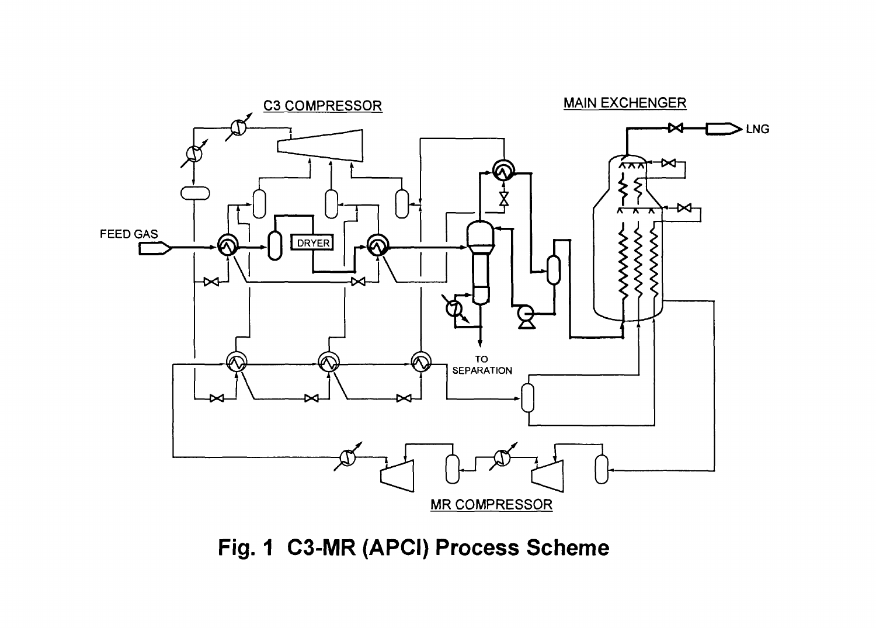

**Fig. 1 C3-MR (APCI) Process Scheme**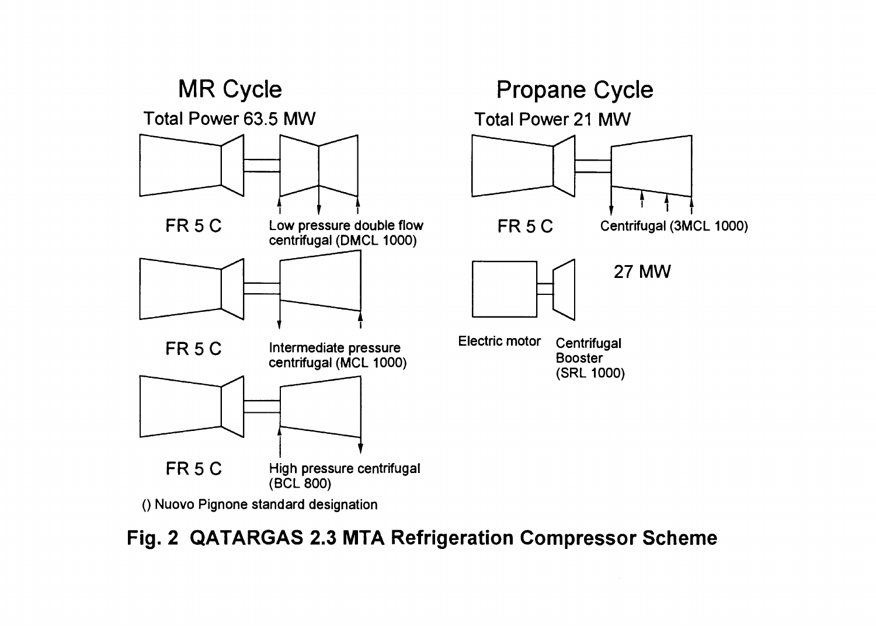

() Nuovo Pignone standard designation

**Fig. 2 QATARGAS 2.3 MTA Refrigeration Compressor Scheme**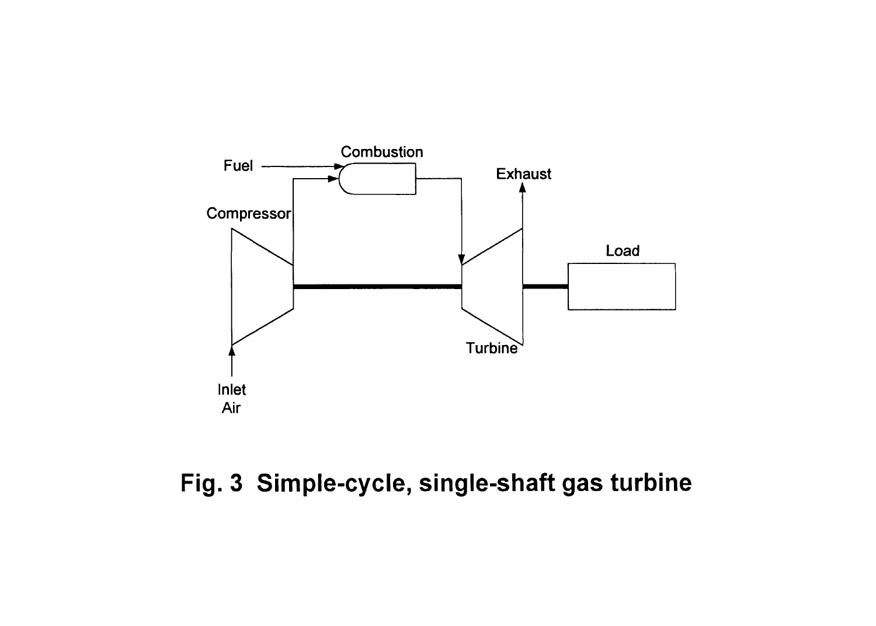

**Fig. 3 Simple-cycle, single-shaft gas turbine**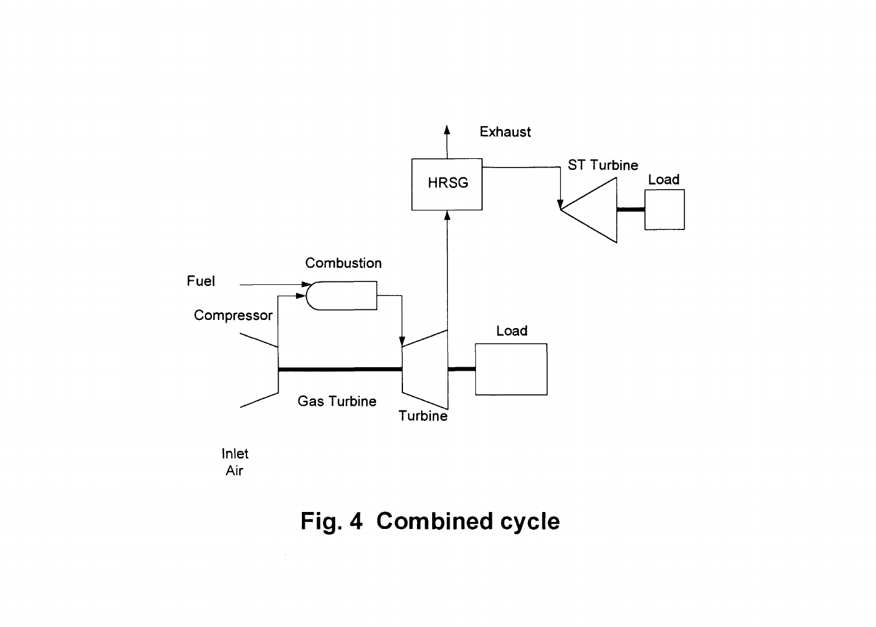

# **Fig. 4 Combined cycle**

 $\sim 10^{-1}$